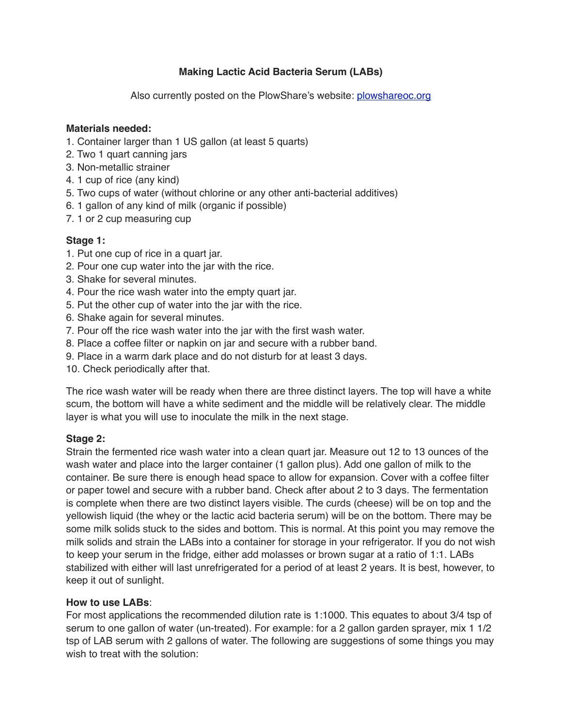# **Making Lactic Acid Bacteria Serum (LABs)**

Also currently posted on the PlowShare's website: [plowshareoc.org](https://www.plowshareoc.org/?utm_source=PlowShare&utm_campaign=68e353c8a0-EMAIL_CAMPAIGN_2019_05_14_07_12&utm_medium=email&utm_term=0_409f5ba230-68e353c8a0-)

#### **Materials needed:**

- 1. Container larger than 1 US gallon (at least 5 quarts)
- 2. Two 1 quart canning jars
- 3. Non-metallic strainer
- 4. 1 cup of rice (any kind)
- 5. Two cups of water (without chlorine or any other anti-bacterial additives)
- 6. 1 gallon of any kind of milk (organic if possible)
- 7. 1 or 2 cup measuring cup

## **Stage 1:**

- 1. Put one cup of rice in a quart jar.
- 2. Pour one cup water into the jar with the rice.
- 3. Shake for several minutes.
- 4. Pour the rice wash water into the empty quart jar.
- 5. Put the other cup of water into the jar with the rice.
- 6. Shake again for several minutes.
- 7. Pour off the rice wash water into the jar with the first wash water.
- 8. Place a coffee filter or napkin on jar and secure with a rubber band.
- 9. Place in a warm dark place and do not disturb for at least 3 days.
- 10. Check periodically after that.

The rice wash water will be ready when there are three distinct layers. The top will have a white scum, the bottom will have a white sediment and the middle will be relatively clear. The middle layer is what you will use to inoculate the milk in the next stage.

## **Stage 2:**

Strain the fermented rice wash water into a clean quart jar. Measure out 12 to 13 ounces of the wash water and place into the larger container (1 gallon plus). Add one gallon of milk to the container. Be sure there is enough head space to allow for expansion. Cover with a coffee filter or paper towel and secure with a rubber band. Check after about 2 to 3 days. The fermentation is complete when there are two distinct layers visible. The curds (cheese) will be on top and the yellowish liquid (the whey or the lactic acid bacteria serum) will be on the bottom. There may be some milk solids stuck to the sides and bottom. This is normal. At this point you may remove the milk solids and strain the LABs into a container for storage in your refrigerator. If you do not wish to keep your serum in the fridge, either add molasses or brown sugar at a ratio of 1:1. LABs stabilized with either will last unrefrigerated for a period of at least 2 years. It is best, however, to keep it out of sunlight.

## **How to use LABs**:

For most applications the recommended dilution rate is 1:1000. This equates to about 3/4 tsp of serum to one gallon of water (un-treated). For example: for a 2 gallon garden sprayer, mix 1 1/2 tsp of LAB serum with 2 gallons of water. The following are suggestions of some things you may wish to treat with the solution: